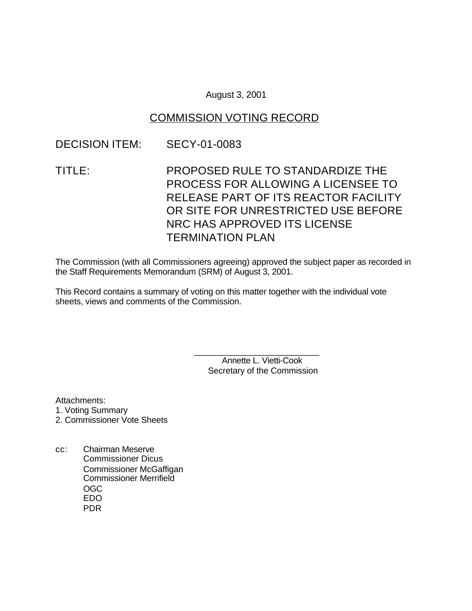### August 3, 2001

# COMMISSION VOTING RECORD

### DECISION ITEM: SECY-01-0083

TITLE: PROPOSED RULE TO STANDARDIZE THE PROCESS FOR ALLOWING A LICENSEE TO RELEASE PART OF ITS REACTOR FACILITY OR SITE FOR UNRESTRICTED USE BEFORE NRC HAS APPROVED ITS LICENSE TERMINATION PLAN

The Commission (with all Commissioners agreeing) approved the subject paper as recorded in the Staff Requirements Memorandum (SRM) of August 3, 2001.

This Record contains a summary of voting on this matter together with the individual vote sheets, views and comments of the Commission.

> \_\_\_\_\_\_\_\_\_\_\_\_\_\_\_\_\_\_\_\_\_\_\_\_\_\_\_ Annette L. Vietti-Cook Secretary of the Commission

Attachments:

- 1. Voting Summary
- 2. Commissioner Vote Sheets
- cc: Chairman Meserve Commissioner Dicus Commissioner McGaffigan Commissioner Merrifield OGC EDO PDR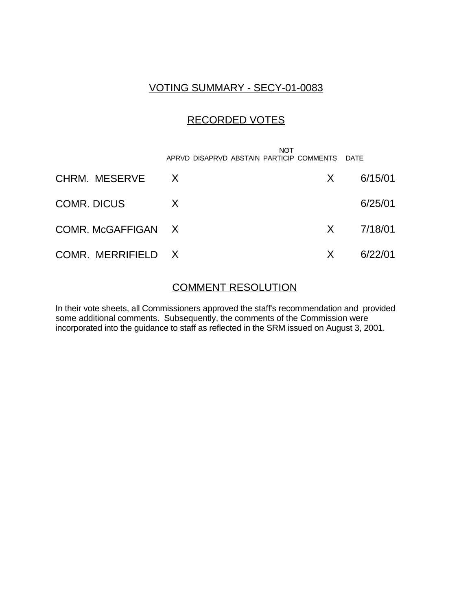# VOTING SUMMARY - SECY-01-0083

# RECORDED VOTES

|                    | NOT<br>APRVD DISAPRVD ABSTAIN PARTICIP COMMENTS DATE |    |         |
|--------------------|------------------------------------------------------|----|---------|
| CHRM. MESERVE      | $\mathsf{X}$                                         | X. | 6/15/01 |
| <b>COMR. DICUS</b> | X                                                    |    | 6/25/01 |
| COMR. McGAFFIGAN X |                                                      | X. | 7/18/01 |
| COMR. MERRIFIELD X |                                                      | X  | 6/22/01 |

## COMMENT RESOLUTION

In their vote sheets, all Commissioners approved the staff's recommendation and provided some additional comments. Subsequently, the comments of the Commission were incorporated into the guidance to staff as reflected in the SRM issued on August 3, 2001.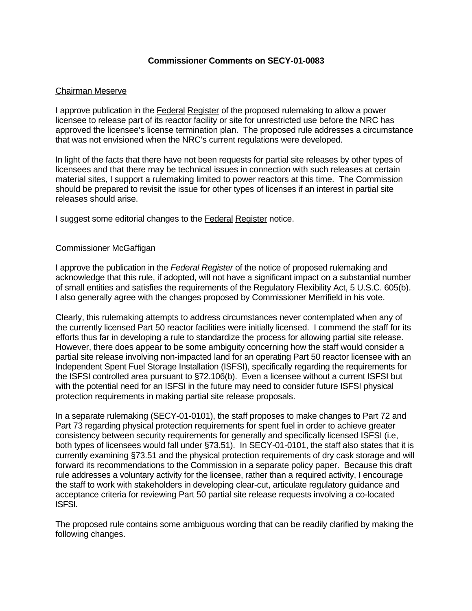### **Commissioner Comments on SECY-01-0083**

### Chairman Meserve

I approve publication in the **Federal Register** of the proposed rulemaking to allow a power licensee to release part of its reactor facility or site for unrestricted use before the NRC has approved the licensee's license termination plan. The proposed rule addresses a circumstance that was not envisioned when the NRC's current regulations were developed.

In light of the facts that there have not been requests for partial site releases by other types of licensees and that there may be technical issues in connection with such releases at certain material sites, I support a rulemaking limited to power reactors at this time. The Commission should be prepared to revisit the issue for other types of licenses if an interest in partial site releases should arise.

I suggest some editorial changes to the Federal Register notice.

### Commissioner McGaffigan

I approve the publication in the *Federal Register* of the notice of proposed rulemaking and acknowledge that this rule, if adopted, will not have a significant impact on a substantial number of small entities and satisfies the requirements of the Regulatory Flexibility Act, 5 U.S.C. 605(b). I also generally agree with the changes proposed by Commissioner Merrifield in his vote.

Clearly, this rulemaking attempts to address circumstances never contemplated when any of the currently licensed Part 50 reactor facilities were initially licensed. I commend the staff for its efforts thus far in developing a rule to standardize the process for allowing partial site release. However, there does appear to be some ambiguity concerning how the staff would consider a partial site release involving non-impacted land for an operating Part 50 reactor licensee with an Independent Spent Fuel Storage Installation (ISFSI), specifically regarding the requirements for the ISFSI controlled area pursuant to §72.106(b). Even a licensee without a current ISFSI but with the potential need for an ISFSI in the future may need to consider future ISFSI physical protection requirements in making partial site release proposals.

In a separate rulemaking (SECY-01-0101), the staff proposes to make changes to Part 72 and Part 73 regarding physical protection requirements for spent fuel in order to achieve greater consistency between security requirements for generally and specifically licensed ISFSI (i.e, both types of licensees would fall under §73.51). In SECY-01-0101, the staff also states that it is currently examining §73.51 and the physical protection requirements of dry cask storage and will forward its recommendations to the Commission in a separate policy paper. Because this draft rule addresses a voluntary activity for the licensee, rather than a required activity, I encourage the staff to work with stakeholders in developing clear-cut, articulate regulatory guidance and acceptance criteria for reviewing Part 50 partial site release requests involving a co-located ISFSI.

The proposed rule contains some ambiguous wording that can be readily clarified by making the following changes.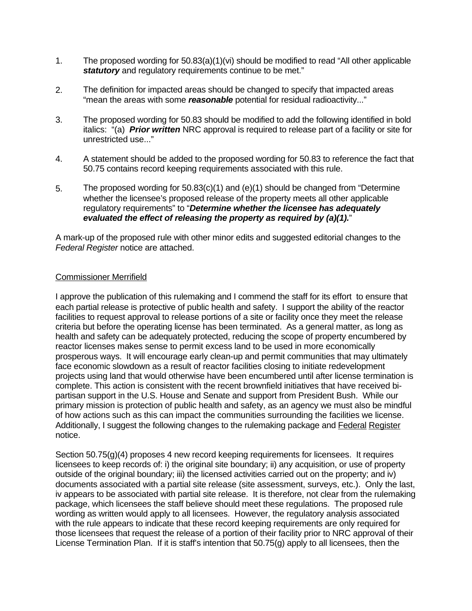- 1. The proposed wording for 50.83(a)(1)(vi) should be modified to read "All other applicable **statutory** and regulatory requirements continue to be met."
- 2. The definition for impacted areas should be changed to specify that impacted areas "mean the areas with some *reasonable* potential for residual radioactivity..."
- 3. The proposed wording for 50.83 should be modified to add the following identified in bold italics: "(a) *Prior written* NRC approval is required to release part of a facility or site for unrestricted use..."
- 4. A statement should be added to the proposed wording for 50.83 to reference the fact that 50.75 contains record keeping requirements associated with this rule.
- 5. The proposed wording for 50.83(c)(1) and (e)(1) should be changed from "Determine whether the licensee's proposed release of the property meets all other applicable regulatory requirements" to "*Determine whether the licensee has adequately evaluated the effect of releasing the property as required by (a)(1).*"

A mark-up of the proposed rule with other minor edits and suggested editorial changes to the *Federal Register* notice are attached.

### Commissioner Merrifield

I approve the publication of this rulemaking and I commend the staff for its effort to ensure that each partial release is protective of public health and safety. I support the ability of the reactor facilities to request approval to release portions of a site or facility once they meet the release criteria but before the operating license has been terminated. As a general matter, as long as health and safety can be adequately protected, reducing the scope of property encumbered by reactor licenses makes sense to permit excess land to be used in more economically prosperous ways. It will encourage early clean-up and permit communities that may ultimately face economic slowdown as a result of reactor facilities closing to initiate redevelopment projects using land that would otherwise have been encumbered until after license termination is complete. This action is consistent with the recent brownfield initiatives that have received bipartisan support in the U.S. House and Senate and support from President Bush. While our primary mission is protection of public health and safety, as an agency we must also be mindful of how actions such as this can impact the communities surrounding the facilities we license. Additionally, I suggest the following changes to the rulemaking package and Federal Register notice.

Section 50.75(g)(4) proposes 4 new record keeping requirements for licensees. It requires licensees to keep records of: i) the original site boundary; ii) any acquisition, or use of property outside of the original boundary; iii) the licensed activities carried out on the property; and iv) documents associated with a partial site release (site assessment, surveys, etc.). Only the last, iv appears to be associated with partial site release. It is therefore, not clear from the rulemaking package, which licensees the staff believe should meet these regulations. The proposed rule wording as written would apply to all licensees. However, the regulatory analysis associated with the rule appears to indicate that these record keeping requirements are only required for those licensees that request the release of a portion of their facility prior to NRC approval of their License Termination Plan. If it is staff's intention that 50.75(g) apply to all licensees, then the